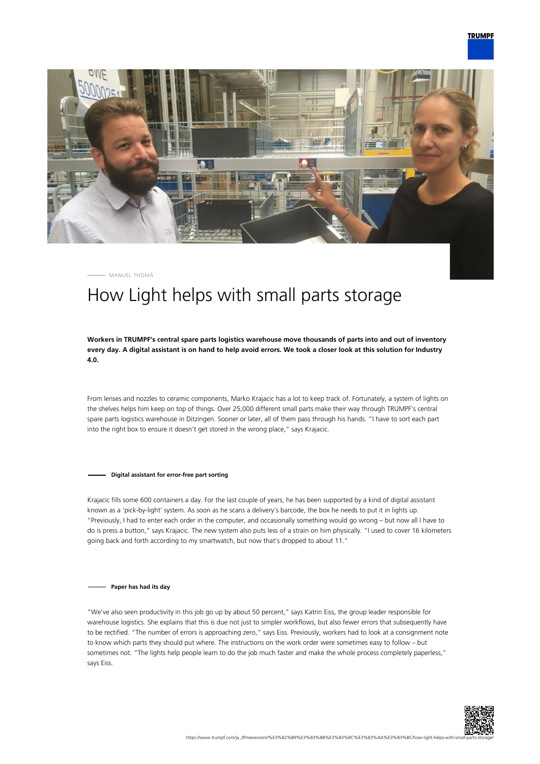



MANUEL THOMÄ

## How Light helps with small parts storage

**Workers in TRUMPF's central spare parts logistics warehouse move thousands of parts into and out of inventory every day. A digital assistant is on hand to help avoid errors. We took a closer look at this solution for Industry 4.0.**

From lenses and nozzles to ceramic components, Marko Krajacic has a lot to keep track of. Fortunately, a system of lights on the shelves helps him keep on top of things. Over 25,000 different small parts make their way through TRUMPF's central spare parts logistics warehouse in Ditzingen. Sooner or later, all of them pass through his hands. "I have to sort each part into the right box to ensure it doesn't get stored in the wrong place," says Krajacic.

**Digital assistant for error-free part sorting**

Krajacic fills some 600 containers a day. For the last couple of years, he has been supported by a kind of digital assistant known as a 'pick-by-light' system. As soon as he scans a delivery's barcode, the box he needs to put it in lights up. "Previously, I had to enter each order in the computer, and occasionally something would go wrong – but now all I have to do is press a button," says Krajacic. The new system also puts less of a strain on him physically. "I used to cover 16 kilometers going back and forth according to my smartwatch, but now that's dropped to about 11."

## **Paper has had its day**

"We've also seen productivity in this job go up by about 50 percent," says Katrin Eiss, the group leader responsible for warehouse logistics. She explains that this is due not just to simpler workflows, but also fewer errors that subsequently have to be rectified. "The number of errors is approaching zero," says Eiss. Previously, workers had to look at a consignment note to know which parts they should put where. The instructions on the work order were sometimes easy to follow – but sometimes not. "The lights help people learn to do the job much faster and make the whole process completely paperless," says Eiss.